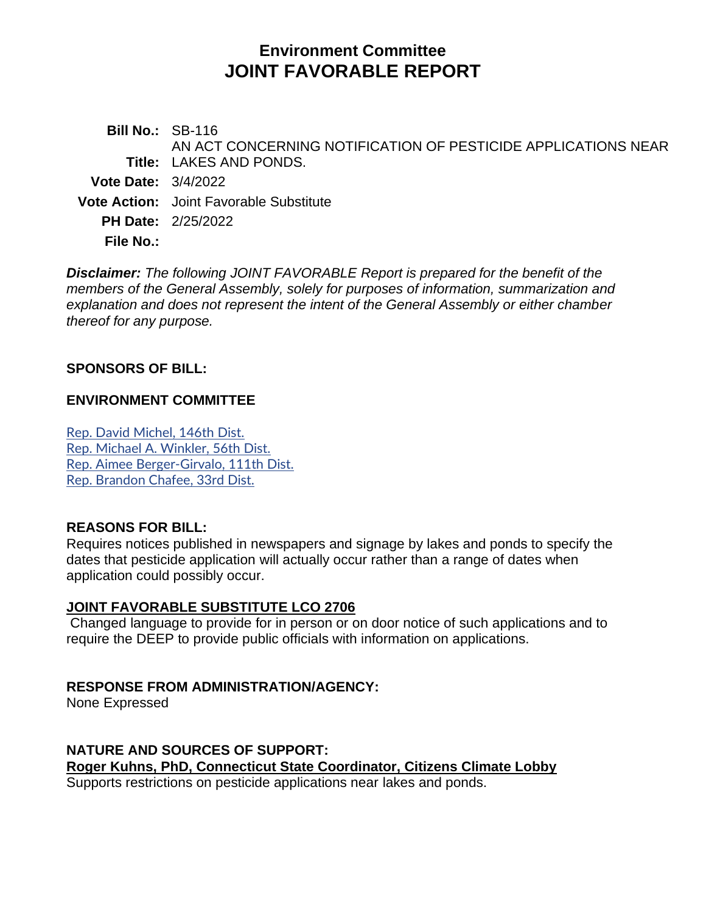# **Environment Committee JOINT FAVORABLE REPORT**

**Bill No.:** SB-116 **Title:** LAKES AND PONDS. AN ACT CONCERNING NOTIFICATION OF PESTICIDE APPLICATIONS NEAR **Vote Date:** 3/4/2022 **Vote Action:** Joint Favorable Substitute **PH Date:** 2/25/2022

**File No.:**

*Disclaimer: The following JOINT FAVORABLE Report is prepared for the benefit of the members of the General Assembly, solely for purposes of information, summarization and explanation and does not represent the intent of the General Assembly or either chamber thereof for any purpose.*

# **SPONSORS OF BILL:**

# **ENVIRONMENT COMMITTEE**

[Rep. David Michel, 146th Dist.](http://cgalites/asp/CGABillStatus/CGAMemberBills.asp?dist_code=%27146%27) [Rep. Michael A. Winkler, 56th Dist.](http://cgalites/asp/CGABillStatus/CGAMemberBills.asp?dist_code=%27056%27) [Rep. Aimee Berger-Girvalo, 111th Dist.](http://cgalites/asp/CGABillStatus/CGAMemberBills.asp?dist_code=%27111%27) [Rep. Brandon Chafee, 33rd Dist.](http://cgalites/asp/CGABillStatus/CGAMemberBills.asp?dist_code=%27033%27)

# **REASONS FOR BILL:**

Requires notices published in newspapers and signage by lakes and ponds to specify the dates that pesticide application will actually occur rather than a range of dates when application could possibly occur.

# **JOINT FAVORABLE SUBSTITUTE LCO 2706**

Changed language to provide for in person or on door notice of such applications and to require the DEEP to provide public officials with information on applications.

# **RESPONSE FROM ADMINISTRATION/AGENCY:**

None Expressed

**NATURE AND SOURCES OF SUPPORT: Roger Kuhns, PhD, Connecticut State Coordinator, Citizens Climate Lobby** Supports restrictions on pesticide applications near lakes and ponds.